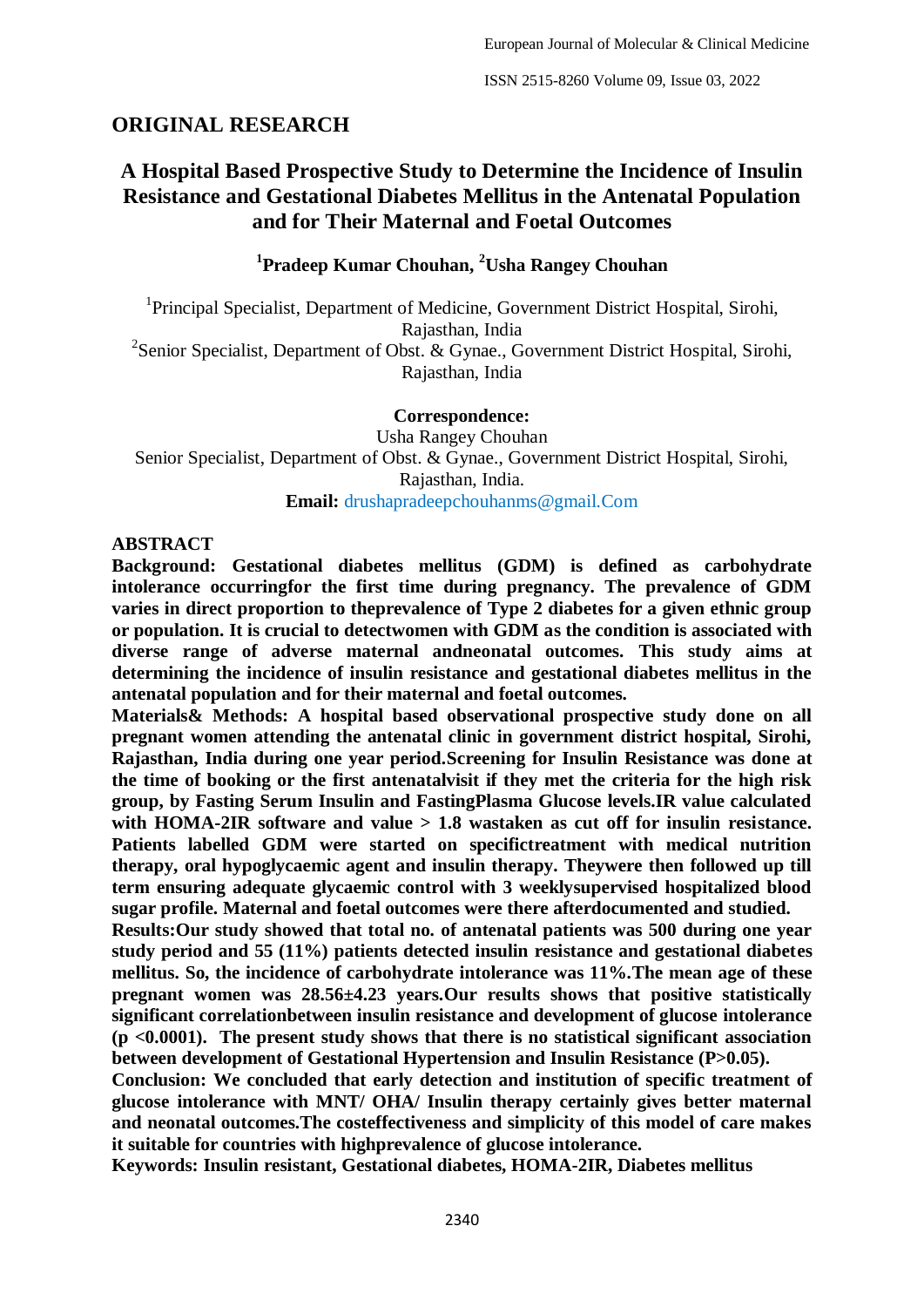# **ORIGINAL RESEARCH**

# **A Hospital Based Prospective Study to Determine the Incidence of Insulin Resistance and Gestational Diabetes Mellitus in the Antenatal Population and for Their Maternal and Foetal Outcomes**

**1 Pradeep Kumar Chouhan, <sup>2</sup>Usha Rangey Chouhan**

<sup>1</sup>Principal Specialist, Department of Medicine, Government District Hospital, Sirohi, Rajasthan, India <sup>2</sup>Senior Specialist, Department of Obst. & Gynae., Government District Hospital, Sirohi, Rajasthan, India

#### **Correspondence:**

Usha Rangey Chouhan Senior Specialist, Department of Obst. & Gynae., Government District Hospital, Sirohi, Rajasthan, India. **Email:** drushapradeepchouhanms@gmail.Com

#### **ABSTRACT**

**Background: Gestational diabetes mellitus (GDM) is defined as carbohydrate intolerance occurringfor the first time during pregnancy. The prevalence of GDM varies in direct proportion to theprevalence of Type 2 diabetes for a given ethnic group or population. It is crucial to detectwomen with GDM as the condition is associated with diverse range of adverse maternal andneonatal outcomes. This study aims at determining the incidence of insulin resistance and gestational diabetes mellitus in the antenatal population and for their maternal and foetal outcomes.**

**Materials& Methods: A hospital based observational prospective study done on all pregnant women attending the antenatal clinic in government district hospital, Sirohi, Rajasthan, India during one year period.Screening for Insulin Resistance was done at the time of booking or the first antenatalvisit if they met the criteria for the high risk group, by Fasting Serum Insulin and FastingPlasma Glucose levels.IR value calculated**  with HOMA-2IR software and value  $> 1.8$  wastaken as cut off for insulin resistance. **Patients labelled GDM were started on specifictreatment with medical nutrition therapy, oral hypoglycaemic agent and insulin therapy. Theywere then followed up till term ensuring adequate glycaemic control with 3 weeklysupervised hospitalized blood sugar profile. Maternal and foetal outcomes were there afterdocumented and studied.**

**Results:Our study showed that total no. of antenatal patients was 500 during one year study period and 55 (11%) patients detected insulin resistance and gestational diabetes mellitus. So, the incidence of carbohydrate intolerance was 11%.The mean age of these pregnant women was 28.56±4.23 years.Our results shows that positive statistically significant correlationbetween insulin resistance and development of glucose intolerance (p <0.0001). The present study shows that there is no statistical significant association between development of Gestational Hypertension and Insulin Resistance (P>0.05).**

**Conclusion: We concluded that early detection and institution of specific treatment of glucose intolerance with MNT/ OHA/ Insulin therapy certainly gives better maternal and neonatal outcomes.The costeffectiveness and simplicity of this model of care makes it suitable for countries with highprevalence of glucose intolerance.**

**Keywords: Insulin resistant, Gestational diabetes, HOMA-2IR, Diabetes mellitus**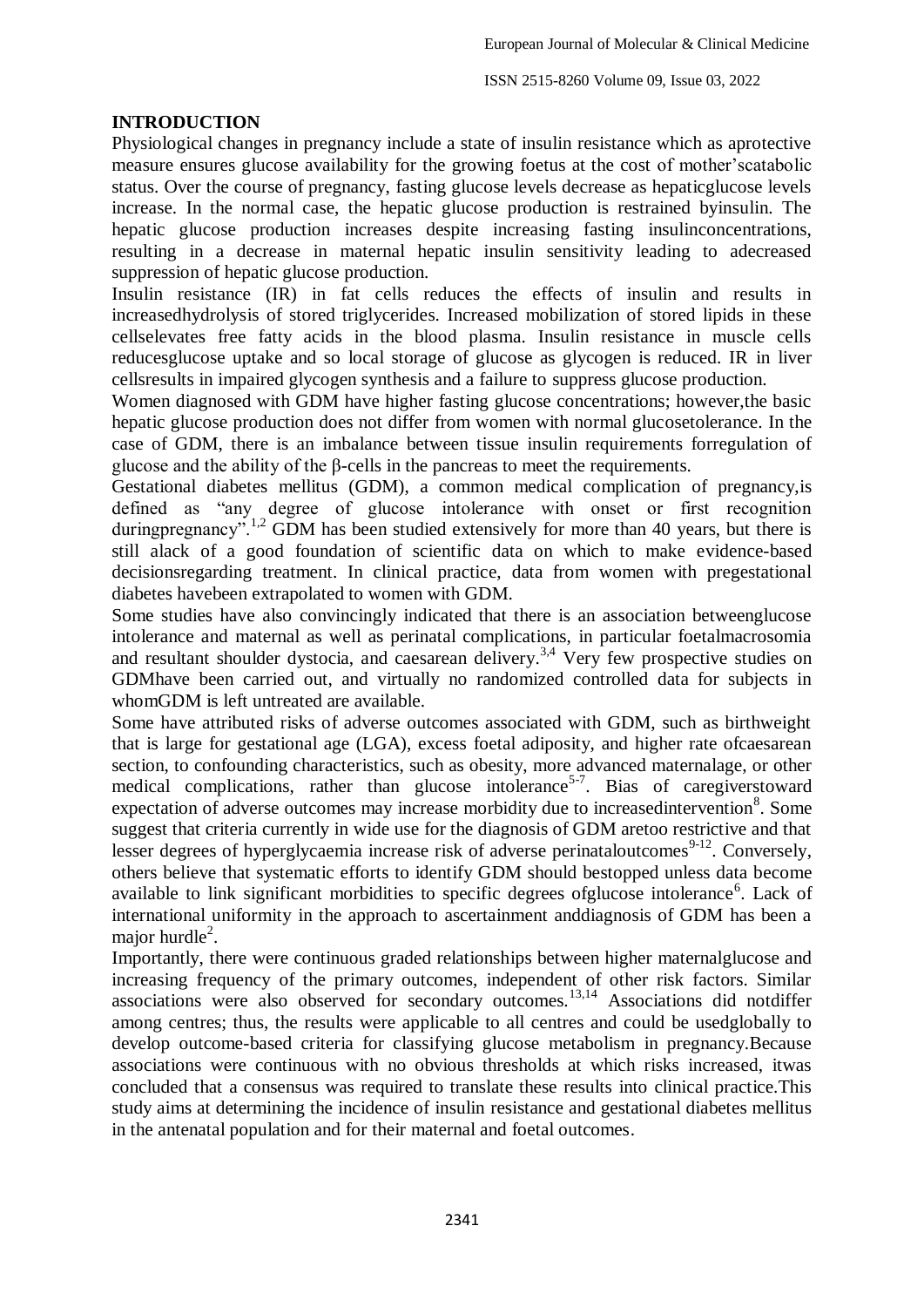## **INTRODUCTION**

Physiological changes in pregnancy include a state of insulin resistance which as aprotective measure ensures glucose availability for the growing foetus at the cost of mother'scatabolic status. Over the course of pregnancy, fasting glucose levels decrease as hepaticglucose levels increase. In the normal case, the hepatic glucose production is restrained byinsulin. The hepatic glucose production increases despite increasing fasting insulinconcentrations, resulting in a decrease in maternal hepatic insulin sensitivity leading to adecreased suppression of hepatic glucose production.

Insulin resistance (IR) in fat cells reduces the effects of insulin and results in increasedhydrolysis of stored triglycerides. Increased mobilization of stored lipids in these cellselevates free fatty acids in the blood plasma. Insulin resistance in muscle cells reducesglucose uptake and so local storage of glucose as glycogen is reduced. IR in liver cellsresults in impaired glycogen synthesis and a failure to suppress glucose production.

Women diagnosed with GDM have higher fasting glucose concentrations; however,the basic hepatic glucose production does not differ from women with normal glucosetolerance. In the case of GDM, there is an imbalance between tissue insulin requirements forregulation of glucose and the ability of the β-cells in the pancreas to meet the requirements.

Gestational diabetes mellitus (GDM), a common medical complication of pregnancy,is defined as "any degree of glucose intolerance with onset or first recognition duringpregnancy".<sup>1,2</sup> GDM has been studied extensively for more than 40 years, but there is still alack of a good foundation of scientific data on which to make evidence-based decisionsregarding treatment. In clinical practice, data from women with pregestational diabetes havebeen extrapolated to women with GDM.

Some studies have also convincingly indicated that there is an association betweenglucose intolerance and maternal as well as perinatal complications, in particular foetalmacrosomia and resultant shoulder dystocia, and caesarean delivery.<sup>3,4</sup> Very few prospective studies on GDMhave been carried out, and virtually no randomized controlled data for subjects in whomGDM is left untreated are available.

Some have attributed risks of adverse outcomes associated with GDM, such as birthweight that is large for gestational age (LGA), excess foetal adiposity, and higher rate ofcaesarean section, to confounding characteristics, such as obesity, more advanced maternalage, or other medical complications, rather than glucose intolerance<sup>5-7</sup>. Bias of caregiverstoward expectation of adverse outcomes may increase morbidity due to increasedintervention<sup>8</sup>. Some suggest that criteria currently in wide use for the diagnosis of GDM aretoo restrictive and that lesser degrees of hyperglycaemia increase risk of adverse perinataloutcomes $9-12$ . Conversely, others believe that systematic efforts to identify GDM should bestopped unless data become available to link significant morbidities to specific degrees ofglucose intolerance<sup>6</sup>. Lack of international uniformity in the approach to ascertainment anddiagnosis of GDM has been a major hurdle $2$ .

Importantly, there were continuous graded relationships between higher maternalglucose and increasing frequency of the primary outcomes, independent of other risk factors. Similar associations were also observed for secondary outcomes.13,14 Associations did notdiffer among centres; thus, the results were applicable to all centres and could be usedglobally to develop outcome-based criteria for classifying glucose metabolism in pregnancy.Because associations were continuous with no obvious thresholds at which risks increased, itwas concluded that a consensus was required to translate these results into clinical practice.This study aims at determining the incidence of insulin resistance and gestational diabetes mellitus in the antenatal population and for their maternal and foetal outcomes.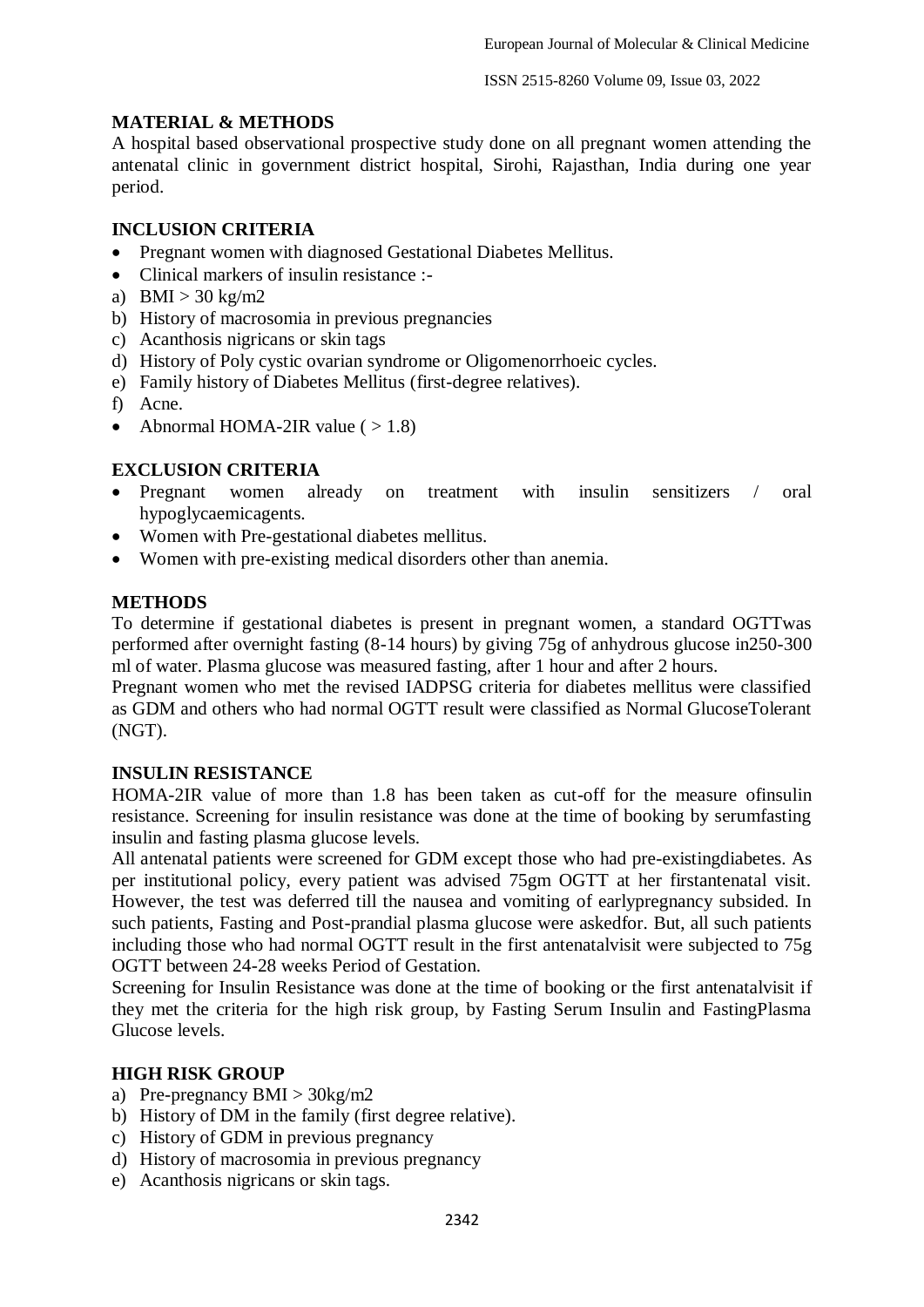## **MATERIAL & METHODS**

A hospital based observational prospective study done on all pregnant women attending the antenatal clinic in government district hospital, Sirohi, Rajasthan, India during one year period.

## **INCLUSION CRITERIA**

- Pregnant women with diagnosed Gestational Diabetes Mellitus.
- Clinical markers of insulin resistance :-
- a) BMI  $>$  30 kg/m2
- b) History of macrosomia in previous pregnancies
- c) Acanthosis nigricans or skin tags
- d) History of Poly cystic ovarian syndrome or Oligomenorrhoeic cycles.
- e) Family history of Diabetes Mellitus (first-degree relatives).
- f) Acne.
- Abnormal HOMA-2IR value  $( > 1.8)$

## **EXCLUSION CRITERIA**

- Pregnant women already on treatment with insulin sensitizers / oral hypoglycaemicagents.
- Women with Pre-gestational diabetes mellitus.
- Women with pre-existing medical disorders other than anemia.

## **METHODS**

To determine if gestational diabetes is present in pregnant women, a standard OGTTwas performed after overnight fasting (8-14 hours) by giving 75g of anhydrous glucose in250-300 ml of water. Plasma glucose was measured fasting, after 1 hour and after 2 hours.

Pregnant women who met the revised IADPSG criteria for diabetes mellitus were classified as GDM and others who had normal OGTT result were classified as Normal GlucoseTolerant (NGT).

#### **INSULIN RESISTANCE**

HOMA-2IR value of more than 1.8 has been taken as cut-off for the measure ofinsulin resistance. Screening for insulin resistance was done at the time of booking by serumfasting insulin and fasting plasma glucose levels.

All antenatal patients were screened for GDM except those who had pre-existingdiabetes. As per institutional policy, every patient was advised 75gm OGTT at her firstantenatal visit. However, the test was deferred till the nausea and vomiting of earlypregnancy subsided. In such patients, Fasting and Post-prandial plasma glucose were askedfor. But, all such patients including those who had normal OGTT result in the first antenatalvisit were subjected to 75g OGTT between 24-28 weeks Period of Gestation.

Screening for Insulin Resistance was done at the time of booking or the first antenatalvisit if they met the criteria for the high risk group, by Fasting Serum Insulin and FastingPlasma Glucose levels.

## **HIGH RISK GROUP**

- a) Pre-pregnancy  $BMI > 30kg/m2$
- b) History of DM in the family (first degree relative).
- c) History of GDM in previous pregnancy
- d) History of macrosomia in previous pregnancy
- e) Acanthosis nigricans or skin tags.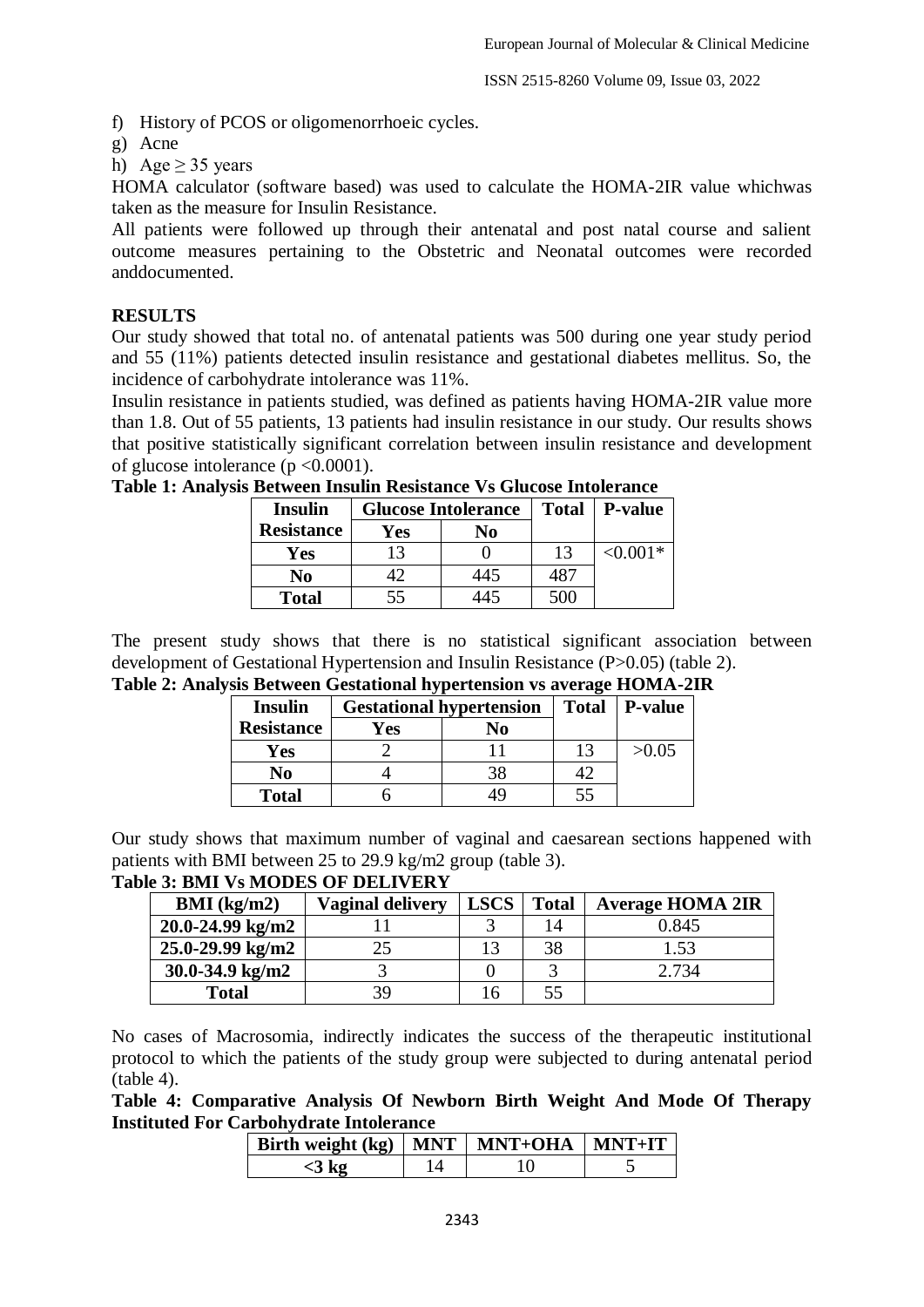f) History of PCOS or oligomenorrhoeic cycles.

g) Acne

h) Age  $\geq$  35 years

HOMA calculator (software based) was used to calculate the HOMA-2IR value whichwas taken as the measure for Insulin Resistance.

All patients were followed up through their antenatal and post natal course and salient outcome measures pertaining to the Obstetric and Neonatal outcomes were recorded anddocumented.

## **RESULTS**

Our study showed that total no. of antenatal patients was 500 during one year study period and 55 (11%) patients detected insulin resistance and gestational diabetes mellitus. So, the incidence of carbohydrate intolerance was 11%.

Insulin resistance in patients studied, was defined as patients having HOMA-2IR value more than 1.8. Out of 55 patients, 13 patients had insulin resistance in our study. Our results shows that positive statistically significant correlation between insulin resistance and development of glucose intolerance (p <0.0001).

| <b>Insulin</b>    |     | <b>Glucose Intolerance</b> | <b>Total</b> | P-value    |
|-------------------|-----|----------------------------|--------------|------------|
| <b>Resistance</b> | Yes | No                         |              |            |
| Yes               |     |                            | 13           | $< 0.001*$ |
| No                |     | 445                        | 187          |            |
| <b>Total</b>      | 55  | '45                        | 500          |            |

**Table 1: Analysis Between Insulin Resistance Vs Glucose Intolerance**

The present study shows that there is no statistical significant association between development of Gestational Hypertension and Insulin Resistance (P>0.05) (table 2).

**Table 2: Analysis Between Gestational hypertension vs average HOMA-2IR**

| <b>Insulin</b>    | <b>Gestational hypertension</b> |    | Total   P-value |       |
|-------------------|---------------------------------|----|-----------------|-------|
| <b>Resistance</b> | Yes                             | No |                 |       |
| Yes               |                                 |    | 13              | >0.05 |
| No                |                                 |    |                 |       |
| <b>Total</b>      |                                 |    | 55              |       |

Our study shows that maximum number of vaginal and caesarean sections happened with patients with BMI between 25 to 29.9 kg/m2 group (table 3).

**Table 3: BMI Vs MODES OF DELIVERY**

| BMI (kg/m2)          | <b>Vaginal delivery</b> | <b>LSCS</b> | <b>Total</b> | <b>Average HOMA 2IR</b> |
|----------------------|-------------------------|-------------|--------------|-------------------------|
| $20.0 - 24.99$ kg/m2 |                         |             | 14           | 0.845                   |
| $25.0 - 29.99$ kg/m2 |                         |             | 38           | 1.53                    |
| $30.0 - 34.9$ kg/m2  |                         |             |              | 2.734                   |
| <b>Total</b>         | 39                      |             | 55           |                         |

No cases of Macrosomia, indirectly indicates the success of the therapeutic institutional protocol to which the patients of the study group were subjected to during antenatal period (table 4).

**Table 4: Comparative Analysis Of Newborn Birth Weight And Mode Of Therapy Instituted For Carbohydrate Intolerance**

| Birth weight $(kg)$   MNT   MNT+OHA   MNT+IT |  |  |
|----------------------------------------------|--|--|
| $<$ 3 kg                                     |  |  |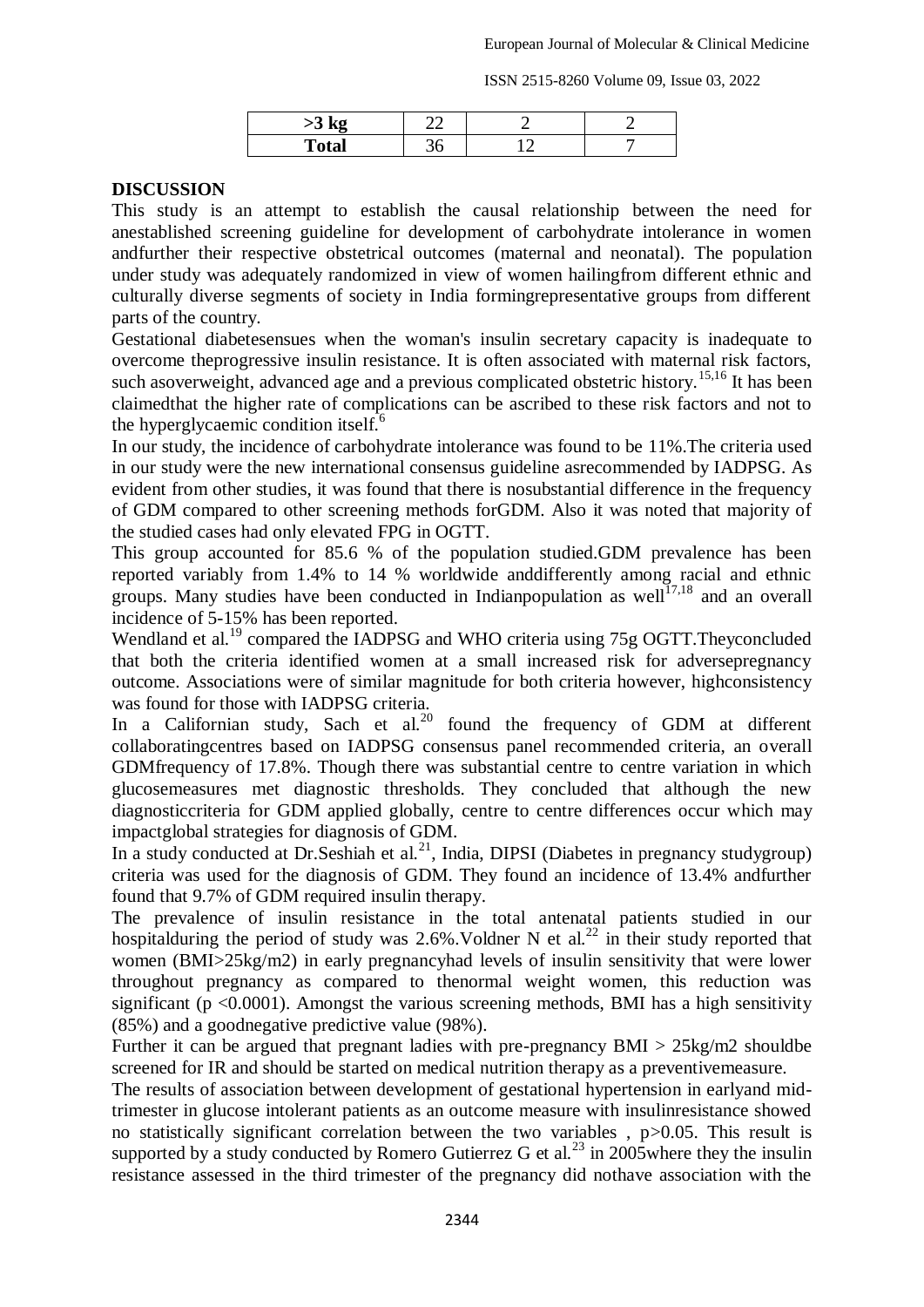ISSN 2515-8260 Volume 09, Issue 03, 2022

| $\geq$ $\mathbf{N}$ | $\mathcal{L}$ |  |
|---------------------|---------------|--|
| <b>Total</b>        |               |  |

## **DISCUSSION**

This study is an attempt to establish the causal relationship between the need for anestablished screening guideline for development of carbohydrate intolerance in women andfurther their respective obstetrical outcomes (maternal and neonatal). The population under study was adequately randomized in view of women hailingfrom different ethnic and culturally diverse segments of society in India formingrepresentative groups from different parts of the country.

Gestational diabetesensues when the woman's insulin secretary capacity is inadequate to overcome theprogressive insulin resistance. It is often associated with maternal risk factors, such asoverweight, advanced age and a previous complicated obstetric history.<sup>15,16</sup> It has been claimedthat the higher rate of complications can be ascribed to these risk factors and not to the hyperglycaemic condition itself.<sup>6</sup>

In our study, the incidence of carbohydrate intolerance was found to be 11%.The criteria used in our study were the new international consensus guideline asrecommended by IADPSG. As evident from other studies, it was found that there is nosubstantial difference in the frequency of GDM compared to other screening methods forGDM. Also it was noted that majority of the studied cases had only elevated FPG in OGTT.

This group accounted for 85.6 % of the population studied.GDM prevalence has been reported variably from 1.4% to 14 % worldwide anddifferently among racial and ethnic groups. Many studies have been conducted in Indian population as well<sup>17,18</sup> and an overall incidence of 5-15% has been reported.

Wendland et al.<sup>19</sup> compared the IADPSG and WHO criteria using 75g OGTT. Theyconcluded that both the criteria identified women at a small increased risk for adversepregnancy outcome. Associations were of similar magnitude for both criteria however, highconsistency was found for those with IADPSG criteria.

In a Californian study, Sach et al.<sup>20</sup> found the frequency of GDM at different collaboratingcentres based on IADPSG consensus panel recommended criteria, an overall GDMfrequency of 17.8%. Though there was substantial centre to centre variation in which glucosemeasures met diagnostic thresholds. They concluded that although the new diagnosticcriteria for GDM applied globally, centre to centre differences occur which may impactglobal strategies for diagnosis of GDM.

In a study conducted at Dr. Seshiah et al.<sup>21</sup>, India, DIPSI (Diabetes in pregnancy studygroup) criteria was used for the diagnosis of GDM. They found an incidence of 13.4% andfurther found that 9.7% of GDM required insulin therapy.

The prevalence of insulin resistance in the total antenatal patients studied in our hospitalduring the period of study was 2.6%. Voldner N et al.<sup>22</sup> in their study reported that women (BMI>25kg/m2) in early pregnancyhad levels of insulin sensitivity that were lower throughout pregnancy as compared to thenormal weight women, this reduction was significant ( $p \le 0.0001$ ). Amongst the various screening methods, BMI has a high sensitivity (85%) and a goodnegative predictive value (98%).

Further it can be argued that pregnant ladies with pre-pregnancy  $BMI > 25 \text{kg/m2}$  should be screened for IR and should be started on medical nutrition therapy as a preventivemeasure.

The results of association between development of gestational hypertension in earlyand midtrimester in glucose intolerant patients as an outcome measure with insulinresistance showed no statistically significant correlation between the two variables, p > 0.05. This result is supported by a study conducted by Romero Gutierrez G et al.<sup>23</sup> in 2005where they the insulin resistance assessed in the third trimester of the pregnancy did nothave association with the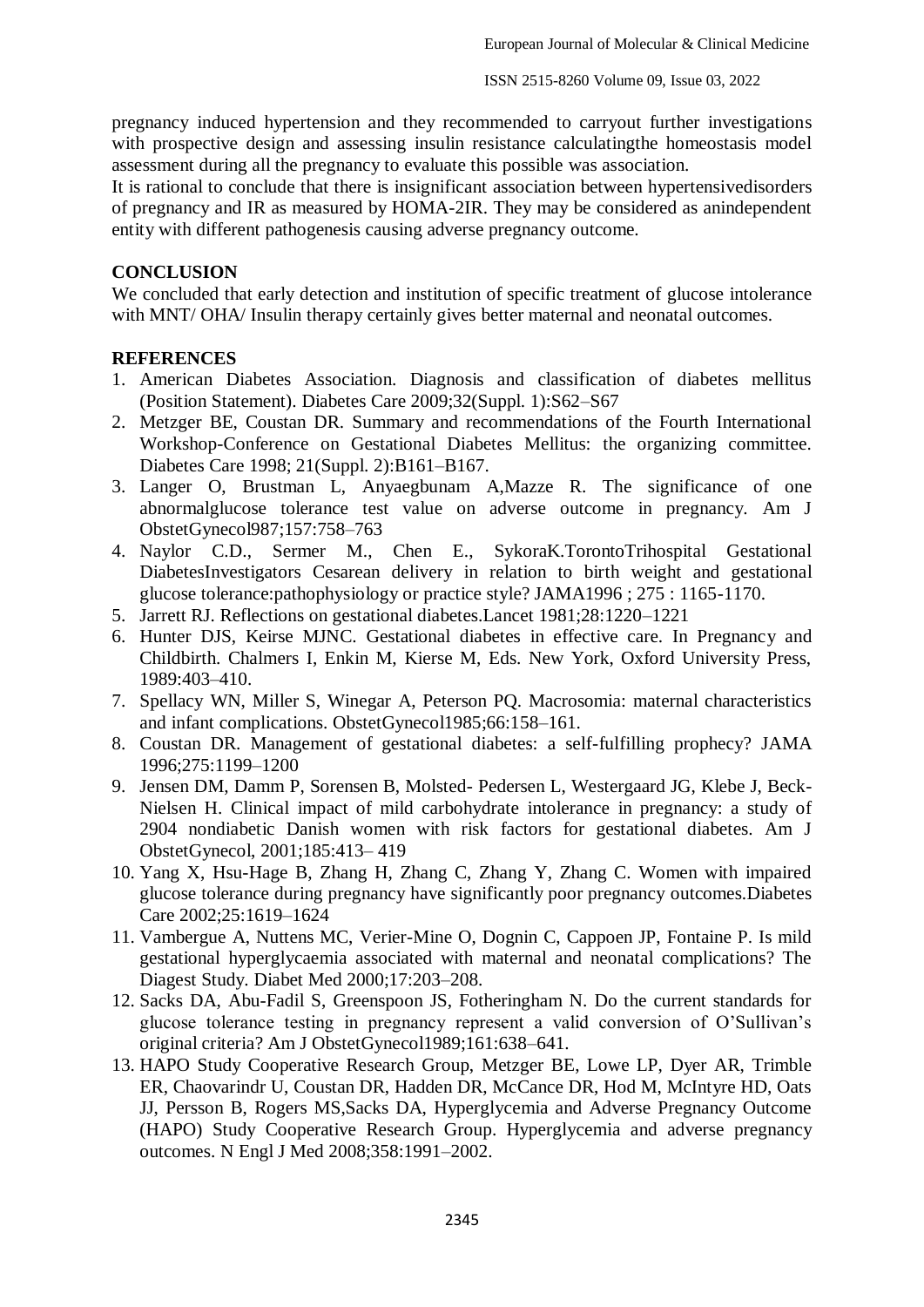pregnancy induced hypertension and they recommended to carryout further investigations with prospective design and assessing insulin resistance calculatingthe homeostasis model assessment during all the pregnancy to evaluate this possible was association.

It is rational to conclude that there is insignificant association between hypertensivedisorders of pregnancy and IR as measured by HOMA-2IR. They may be considered as anindependent entity with different pathogenesis causing adverse pregnancy outcome.

#### **CONCLUSION**

We concluded that early detection and institution of specific treatment of glucose intolerance with MNT/ OHA/ Insulin therapy certainly gives better maternal and neonatal outcomes.

## **REFERENCES**

- 1. American Diabetes Association. Diagnosis and classification of diabetes mellitus (Position Statement). Diabetes Care 2009;32(Suppl. 1):S62–S67
- 2. Metzger BE, Coustan DR. Summary and recommendations of the Fourth International Workshop-Conference on Gestational Diabetes Mellitus: the organizing committee. Diabetes Care 1998; 21(Suppl. 2):B161–B167.
- 3. Langer O, Brustman L, Anyaegbunam A,Mazze R. The significance of one abnormalglucose tolerance test value on adverse outcome in pregnancy. Am J ObstetGynecol987;157:758–763
- 4. Naylor C.D., Sermer M., Chen E., SykoraK.TorontoTrihospital Gestational DiabetesInvestigators Cesarean delivery in relation to birth weight and gestational glucose tolerance:pathophysiology or practice style? JAMA1996 ; 275 : 1165-1170.
- 5. Jarrett RJ. Reflections on gestational diabetes.Lancet 1981;28:1220–1221
- 6. Hunter DJS, Keirse MJNC. Gestational diabetes in effective care. In Pregnancy and Childbirth. Chalmers I, Enkin M, Kierse M, Eds. New York, Oxford University Press, 1989:403–410.
- 7. Spellacy WN, Miller S, Winegar A, Peterson PQ. Macrosomia: maternal characteristics and infant complications. ObstetGynecol1985;66:158–161.
- 8. Coustan DR. Management of gestational diabetes: a self-fulfilling prophecy? JAMA 1996;275:1199–1200
- 9. Jensen DM, Damm P, Sorensen B, Molsted- Pedersen L, Westergaard JG, Klebe J, Beck-Nielsen H. Clinical impact of mild carbohydrate intolerance in pregnancy: a study of 2904 nondiabetic Danish women with risk factors for gestational diabetes. Am J ObstetGynecol, 2001;185:413– 419
- 10. Yang X, Hsu-Hage B, Zhang H, Zhang C, Zhang Y, Zhang C. Women with impaired glucose tolerance during pregnancy have significantly poor pregnancy outcomes.Diabetes Care 2002;25:1619–1624
- 11. Vambergue A, Nuttens MC, Verier-Mine O, Dognin C, Cappoen JP, Fontaine P. Is mild gestational hyperglycaemia associated with maternal and neonatal complications? The Diagest Study. Diabet Med 2000;17:203–208.
- 12. Sacks DA, Abu-Fadil S, Greenspoon JS, Fotheringham N. Do the current standards for glucose tolerance testing in pregnancy represent a valid conversion of O'Sullivan's original criteria? Am J ObstetGynecol1989;161:638–641.
- 13. HAPO Study Cooperative Research Group, Metzger BE, Lowe LP, Dyer AR, Trimble ER, Chaovarindr U, Coustan DR, Hadden DR, McCance DR, Hod M, McIntyre HD, Oats JJ, Persson B, Rogers MS,Sacks DA, Hyperglycemia and Adverse Pregnancy Outcome (HAPO) Study Cooperative Research Group. Hyperglycemia and adverse pregnancy outcomes. N Engl J Med 2008;358:1991–2002.